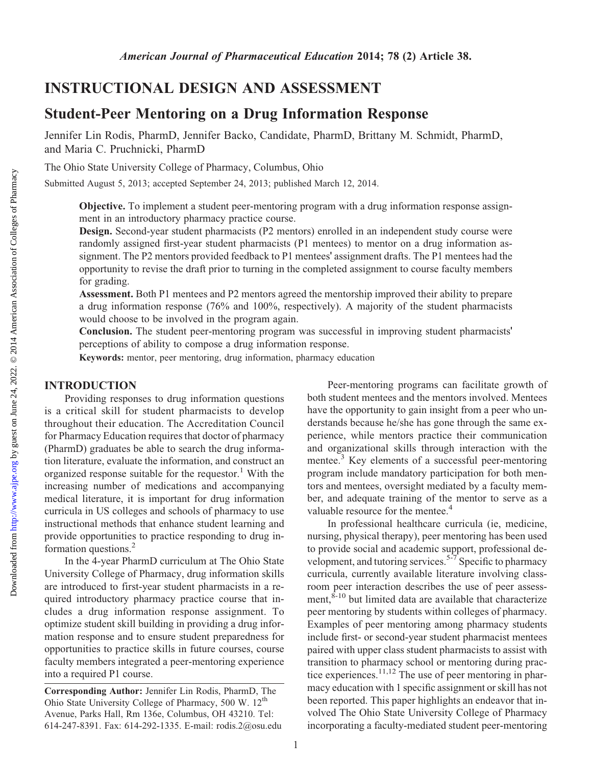<http://www.ajpe.org>

Downloaded from

# INSTRUCTIONAL DESIGN AND ASSESSMENT

# Student-Peer Mentoring on a Drug Information Response

Jennifer Lin Rodis, PharmD, Jennifer Backo, Candidate, PharmD, Brittany M. Schmidt, PharmD, and Maria C. Pruchnicki, PharmD

The Ohio State University College of Pharmacy, Columbus, Ohio

Submitted August 5, 2013; accepted September 24, 2013; published March 12, 2014.

Objective. To implement a student peer-mentoring program with a drug information response assignment in an introductory pharmacy practice course.

Design. Second-year student pharmacists (P2 mentors) enrolled in an independent study course were randomly assigned first-year student pharmacists (P1 mentees) to mentor on a drug information assignment. The P2 mentors provided feedback to P1 mentees' assignment drafts. The P1 mentees had the opportunity to revise the draft prior to turning in the completed assignment to course faculty members for grading.

Assessment. Both P1 mentees and P2 mentors agreed the mentorship improved their ability to prepare a drug information response (76% and 100%, respectively). A majority of the student pharmacists would choose to be involved in the program again.

Conclusion. The student peer-mentoring program was successful in improving student pharmacists' perceptions of ability to compose a drug information response.

Keywords: mentor, peer mentoring, drug information, pharmacy education

#### INTRODUCTION

Providing responses to drug information questions is a critical skill for student pharmacists to develop throughout their education. The Accreditation Council for Pharmacy Education requires that doctor of pharmacy (PharmD) graduates be able to search the drug information literature, evaluate the information, and construct an organized response suitable for the requestor.<sup>1</sup> With the increasing number of medications and accompanying medical literature, it is important for drug information curricula in US colleges and schools of pharmacy to use instructional methods that enhance student learning and provide opportunities to practice responding to drug information questions.<sup>2</sup>

In the 4-year PharmD curriculum at The Ohio State University College of Pharmacy, drug information skills are introduced to first-year student pharmacists in a required introductory pharmacy practice course that includes a drug information response assignment. To optimize student skill building in providing a drug information response and to ensure student preparedness for opportunities to practice skills in future courses, course faculty members integrated a peer-mentoring experience into a required P1 course.

Corresponding Author: Jennifer Lin Rodis, PharmD, The Ohio State University College of Pharmacy, 500 W. 12<sup>th</sup> Avenue, Parks Hall, Rm 136e, Columbus, OH 43210. Tel: 614-247-8391. Fax: 614-292-1335. E-mail: rodis.2@osu.edu

Peer-mentoring programs can facilitate growth of both student mentees and the mentors involved. Mentees have the opportunity to gain insight from a peer who understands because he/she has gone through the same experience, while mentors practice their communication and organizational skills through interaction with the mentee.<sup>3</sup> Key elements of a successful peer-mentoring program include mandatory participation for both mentors and mentees, oversight mediated by a faculty member, and adequate training of the mentor to serve as a valuable resource for the mentee.<sup>4</sup>

In professional healthcare curricula (ie, medicine, nursing, physical therapy), peer mentoring has been used to provide social and academic support, professional development, and tutoring services.<sup>5-7</sup> Specific to pharmacy curricula, currently available literature involving classroom peer interaction describes the use of peer assessment,  $\dot{s}$ -10 but limited data are available that characterize peer mentoring by students within colleges of pharmacy. Examples of peer mentoring among pharmacy students include first- or second-year student pharmacist mentees paired with upper class student pharmacists to assist with transition to pharmacy school or mentoring during practice experiences.<sup>11,12</sup> The use of peer mentoring in pharmacy education with 1 specific assignment or skill has not been reported. This paper highlights an endeavor that involved The Ohio State University College of Pharmacy incorporating a faculty-mediated student peer-mentoring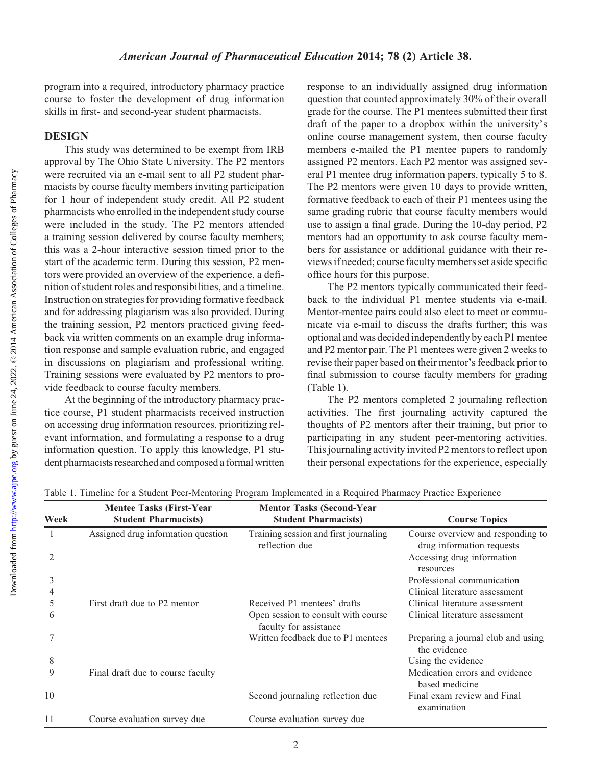program into a required, introductory pharmacy practice course to foster the development of drug information skills in first- and second-year student pharmacists.

### **DESIGN**

This study was determined to be exempt from IRB approval by The Ohio State University. The P2 mentors were recruited via an e-mail sent to all P2 student pharmacists by course faculty members inviting participation for 1 hour of independent study credit. All P2 student pharmacists who enrolled in the independent study course were included in the study. The P2 mentors attended a training session delivered by course faculty members; this was a 2-hour interactive session timed prior to the start of the academic term. During this session, P2 mentors were provided an overview of the experience, a definition of student roles and responsibilities, and a timeline. Instruction on strategies for providing formative feedback and for addressing plagiarism was also provided. During the training session, P2 mentors practiced giving feedback via written comments on an example drug information response and sample evaluation rubric, and engaged in discussions on plagiarism and professional writing. Training sessions were evaluated by P2 mentors to provide feedback to course faculty members.

At the beginning of the introductory pharmacy practice course, P1 student pharmacists received instruction on accessing drug information resources, prioritizing relevant information, and formulating a response to a drug information question. To apply this knowledge, P1 student pharmacists researched and composed a formal written

response to an individually assigned drug information question that counted approximately 30% of their overall grade for the course. The P1 mentees submitted their first draft of the paper to a dropbox within the university's online course management system, then course faculty members e-mailed the P1 mentee papers to randomly assigned P2 mentors. Each P2 mentor was assigned several P1 mentee drug information papers, typically 5 to 8. The P2 mentors were given 10 days to provide written, formative feedback to each of their P1 mentees using the same grading rubric that course faculty members would use to assign a final grade. During the 10-day period, P2 mentors had an opportunity to ask course faculty members for assistance or additional guidance with their reviews if needed; course faculty members set aside specific office hours for this purpose.

The P2 mentors typically communicated their feedback to the individual P1 mentee students via e-mail. Mentor-mentee pairs could also elect to meet or communicate via e-mail to discuss the drafts further; this was optional and was decided independently by each P1 mentee and P2 mentor pair. The P1 mentees were given 2 weeks to revise their paper based on their mentor's feedback prior to final submission to course faculty members for grading (Table 1).

The P2 mentors completed 2 journaling reflection activities. The first journaling activity captured the thoughts of P2 mentors after their training, but prior to participating in any student peer-mentoring activities. This journaling activity invited P2 mentors to reflect upon their personal expectations for the experience, especially

| Week    | <b>Mentee Tasks (First-Year)</b><br><b>Student Pharmacists)</b> | <b>Mentor Tasks (Second-Year</b><br><b>Student Pharmacists)</b> | <b>Course Topics</b>                                           |
|---------|-----------------------------------------------------------------|-----------------------------------------------------------------|----------------------------------------------------------------|
|         | Assigned drug information question                              | Training session and first journaling<br>reflection due         | Course overview and responding to<br>drug information requests |
| 2       |                                                                 |                                                                 | Accessing drug information<br>resources                        |
| 3       |                                                                 |                                                                 | Professional communication                                     |
| 4       |                                                                 |                                                                 | Clinical literature assessment                                 |
| 5       | First draft due to P2 mentor                                    | Received P1 mentees' drafts                                     | Clinical literature assessment                                 |
| 6       |                                                                 | Open session to consult with course<br>faculty for assistance   | Clinical literature assessment                                 |
|         |                                                                 | Written feedback due to P1 mentees                              | Preparing a journal club and using<br>the evidence             |
| $\,8\,$ |                                                                 |                                                                 | Using the evidence                                             |
| 9       | Final draft due to course faculty                               |                                                                 | Medication errors and evidence<br>based medicine               |
| 10      |                                                                 | Second journaling reflection due                                | Final exam review and Final<br>examination                     |
| 11      | Course evaluation survey due                                    | Course evaluation survey due                                    |                                                                |

Table 1. Timeline for a Student Peer-Mentoring Program Implemented in a Required Pharmacy Practice Experience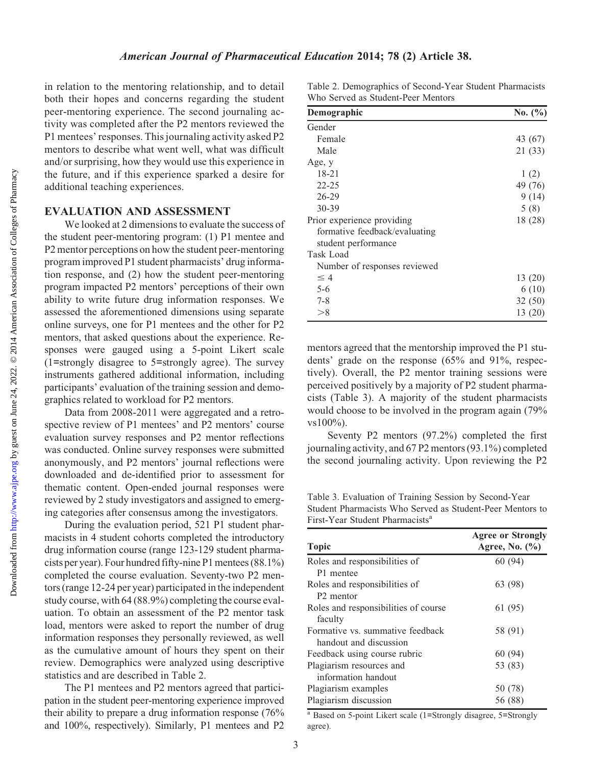in relation to the mentoring relationship, and to detail both their hopes and concerns regarding the student peer-mentoring experience. The second journaling activity was completed after the P2 mentors reviewed the P1 mentees' responses. This journaling activity asked P2 mentors to describe what went well, what was difficult and/or surprising, how they would use this experience in the future, and if this experience sparked a desire for additional teaching experiences.

#### EVALUATION AND ASSESSMENT

We looked at 2 dimensions to evaluate the success of the student peer-mentoring program: (1) P1 mentee and P2 mentor perceptions on how the student peer-mentoring program improved P1 student pharmacists' drug information response, and (2) how the student peer-mentoring program impacted P2 mentors' perceptions of their own ability to write future drug information responses. We assessed the aforementioned dimensions using separate online surveys, one for P1 mentees and the other for P2 mentors, that asked questions about the experience. Responses were gauged using a 5-point Likert scale (1=strongly disagree to 5=strongly agree). The survey instruments gathered additional information, including participants' evaluation of the training session and demographics related to workload for P2 mentors.

Data from 2008-2011 were aggregated and a retrospective review of P1 mentees' and P2 mentors' course evaluation survey responses and P2 mentor reflections was conducted. Online survey responses were submitted anonymously, and P2 mentors' journal reflections were downloaded and de-identified prior to assessment for thematic content. Open-ended journal responses were reviewed by 2 study investigators and assigned to emerging categories after consensus among the investigators.

During the evaluation period, 521 P1 student pharmacists in 4 student cohorts completed the introductory drug information course (range 123-129 student pharmacists per year). Four hundred fifty-nine P1 mentees (88.1%) completed the course evaluation. Seventy-two P2 mentors (range 12-24 per year) participated in the independent study course, with 64 (88.9%) completing the course evaluation. To obtain an assessment of the P2 mentor task load, mentors were asked to report the number of drug information responses they personally reviewed, as well as the cumulative amount of hours they spent on their review. Demographics were analyzed using descriptive statistics and are described in Table 2.

The P1 mentees and P2 mentors agreed that participation in the student peer-mentoring experience improved their ability to prepare a drug information response (76% and 100%, respectively). Similarly, P1 mentees and P2

Table 2. Demographics of Second-Year Student Pharmacists Who Served as Student-Peer Mentors

| Demographic                   | No. $(\% )$ |
|-------------------------------|-------------|
| Gender                        |             |
| Female                        | 43 (67)     |
| Male                          | 21 (33)     |
| Age, y                        |             |
| $18 - 21$                     | 1(2)        |
| $22 - 25$                     | 49 (76)     |
| $26 - 29$                     | 9(14)       |
| 30-39                         | 5(8)        |
| Prior experience providing    | 18 (28)     |
| formative feedback/evaluating |             |
| student performance           |             |
| Task Load                     |             |
| Number of responses reviewed  |             |
| $\leq 4$                      | 13(20)      |
| $5 - 6$                       | 6(10)       |
| $7 - 8$                       | 32 (50)     |
| >8                            | 13 (20)     |

mentors agreed that the mentorship improved the P1 students' grade on the response (65% and 91%, respectively). Overall, the P2 mentor training sessions were perceived positively by a majority of P2 student pharmacists (Table 3). A majority of the student pharmacists would choose to be involved in the program again (79% vs100%).

Seventy P2 mentors (97.2%) completed the first journaling activity, and 67 P2 mentors (93.1%) completed the second journaling activity. Upon reviewing the P2

Table 3. Evaluation of Training Session by Second-Year Student Pharmacists Who Served as Student-Peer Mentors to First-Year Student Pharmacists<sup>a</sup>

| <b>Topic</b>                         | <b>Agree or Strongly</b><br>Agree, No. (%) |  |
|--------------------------------------|--------------------------------------------|--|
| Roles and responsibilities of        | 60(94)                                     |  |
| P1 mentee                            |                                            |  |
| Roles and responsibilities of        | 63 (98)                                    |  |
| P <sub>2</sub> mentor                |                                            |  |
| Roles and responsibilities of course | 61 (95)                                    |  |
| faculty                              |                                            |  |
| Formative vs. summative feedback     | 58 (91)                                    |  |
| handout and discussion               |                                            |  |
| Feedback using course rubric         | 60(94)                                     |  |
| Plagiarism resources and             | 53 (83)                                    |  |
| information handout                  |                                            |  |
| Plagiarism examples                  | 50 (78)                                    |  |
| Plagiarism discussion                | 56 (88)                                    |  |

<sup>a</sup> Based on 5-point Likert scale (1=Strongly disagree, 5=Strongly agree).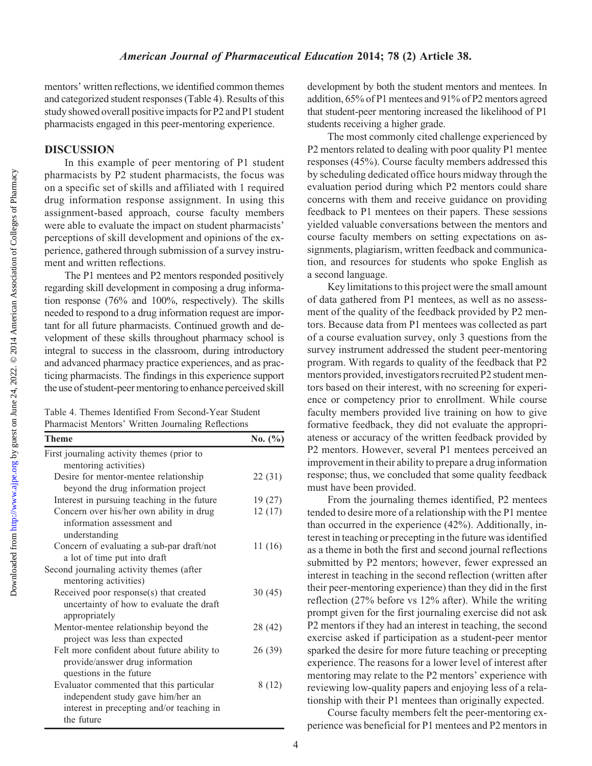mentors' written reflections, we identified common themes and categorized student responses (Table 4). Results of this study showed overall positive impacts for P2 and P1 student pharmacists engaged in this peer-mentoring experience.

#### DISCUSSION

In this example of peer mentoring of P1 student pharmacists by P2 student pharmacists, the focus was on a specific set of skills and affiliated with 1 required drug information response assignment. In using this assignment-based approach, course faculty members were able to evaluate the impact on student pharmacists' perceptions of skill development and opinions of the experience, gathered through submission of a survey instrument and written reflections.

The P1 mentees and P2 mentors responded positively regarding skill development in composing a drug information response (76% and 100%, respectively). The skills needed to respond to a drug information request are important for all future pharmacists. Continued growth and development of these skills throughout pharmacy school is integral to success in the classroom, during introductory and advanced pharmacy practice experiences, and as practicing pharmacists. The findings in this experience support the use of student-peer mentoring to enhance perceived skill

Table 4. Themes Identified From Second-Year Student Pharmacist Mentors' Written Journaling Reflections

| Theme                                       | No. $(\% )$ |  |
|---------------------------------------------|-------------|--|
| First journaling activity themes (prior to  |             |  |
| mentoring activities)                       |             |  |
| Desire for mentor-mentee relationship       | 22 (31)     |  |
| beyond the drug information project         |             |  |
| Interest in pursuing teaching in the future | 19(27)      |  |
| Concern over his/her own ability in drug    | 12(17)      |  |
| information assessment and                  |             |  |
| understanding                               |             |  |
| Concern of evaluating a sub-par draft/not   | 11 (16)     |  |
| a lot of time put into draft                |             |  |
| Second journaling activity themes (after    |             |  |
| mentoring activities)                       |             |  |
| Received poor response(s) that created      | 30(45)      |  |
| uncertainty of how to evaluate the draft    |             |  |
| appropriately                               |             |  |
| Mentor-mentee relationship beyond the       | 28 (42)     |  |
| project was less than expected              |             |  |
| Felt more confident about future ability to | 26 (39)     |  |
| provide/answer drug information             |             |  |
| questions in the future                     |             |  |
| Evaluator commented that this particular    | 8(12)       |  |
| independent study gave him/her an           |             |  |
| interest in precepting and/or teaching in   |             |  |
| the future                                  |             |  |

development by both the student mentors and mentees. In addition, 65% of P1 mentees and 91% of P2 mentors agreed that student-peer mentoring increased the likelihood of P1 students receiving a higher grade.

The most commonly cited challenge experienced by P2 mentors related to dealing with poor quality P1 mentee responses (45%). Course faculty members addressed this by scheduling dedicated office hours midway through the evaluation period during which P2 mentors could share concerns with them and receive guidance on providing feedback to P1 mentees on their papers. These sessions yielded valuable conversations between the mentors and course faculty members on setting expectations on assignments, plagiarism, written feedback and communication, and resources for students who spoke English as a second language.

Key limitations to this project were the small amount of data gathered from P1 mentees, as well as no assessment of the quality of the feedback provided by P2 mentors. Because data from P1 mentees was collected as part of a course evaluation survey, only 3 questions from the survey instrument addressed the student peer-mentoring program. With regards to quality of the feedback that P2 mentors provided, investigators recruited P2 student mentors based on their interest, with no screening for experience or competency prior to enrollment. While course faculty members provided live training on how to give formative feedback, they did not evaluate the appropriateness or accuracy of the written feedback provided by P2 mentors. However, several P1 mentees perceived an improvement in their ability to prepare a drug information response; thus, we concluded that some quality feedback must have been provided.

From the journaling themes identified, P2 mentees tended to desire more of a relationship with the P1 mentee than occurred in the experience (42%). Additionally, interest in teaching or precepting in the future was identified as a theme in both the first and second journal reflections submitted by P2 mentors; however, fewer expressed an interest in teaching in the second reflection (written after their peer-mentoring experience) than they did in the first reflection (27% before vs 12% after). While the writing prompt given for the first journaling exercise did not ask P2 mentors if they had an interest in teaching, the second exercise asked if participation as a student-peer mentor sparked the desire for more future teaching or precepting experience. The reasons for a lower level of interest after mentoring may relate to the P2 mentors' experience with reviewing low-quality papers and enjoying less of a relationship with their P1 mentees than originally expected.

Course faculty members felt the peer-mentoring experience was beneficial for P1 mentees and P2 mentors in